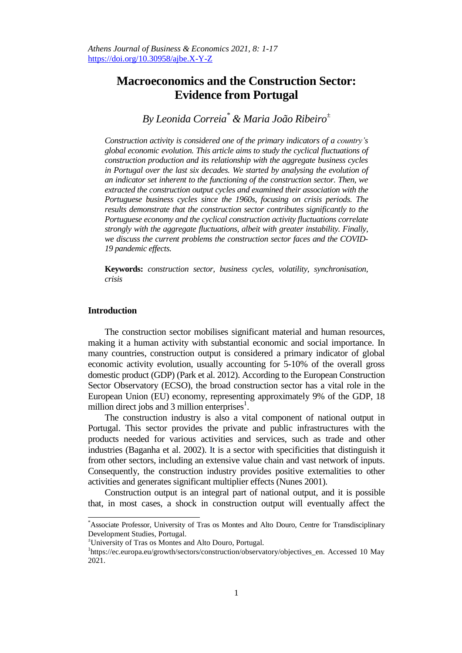# **Macroeconomics and the Construction Sector: Evidence from Portugal**

*By Leonida Correia\* & Maria João Ribeiro<sup>±</sup>*

*Construction activity is considered one of the primary indicators of a country's global economic evolution. This article aims to study the cyclical fluctuations of construction production and its relationship with the aggregate business cycles in Portugal over the last six decades. We started by analysing the evolution of an indicator set inherent to the functioning of the construction sector. Then, we extracted the construction output cycles and examined their association with the Portuguese business cycles since the 1960s, focusing on crisis periods. The results demonstrate that the construction sector contributes significantly to the Portuguese economy and the cyclical construction activity fluctuations correlate strongly with the aggregate fluctuations, albeit with greater instability. Finally, we discuss the current problems the construction sector faces and the COVID-19 pandemic effects.*

**Keywords:** *construction sector, business cycles, volatility, synchronisation, crisis*

# **Introduction**

 $\overline{a}$ 

The construction sector mobilises significant material and human resources, making it a human activity with substantial economic and social importance. In many countries, construction output is considered a primary indicator of global economic activity evolution, usually accounting for 5-10% of the overall gross domestic product (GDP) (Park et al. 2012). According to the European Construction Sector Observatory (ECSO), the broad construction sector has a vital role in the European Union (EU) economy, representing approximately 9% of the GDP, 18 million direct jobs and 3 million enterprises $<sup>1</sup>$ .</sup>

The construction industry is also a vital component of national output in Portugal. This sector provides the private and public infrastructures with the products needed for various activities and services, such as trade and other industries (Baganha et al. 2002). It is a sector with specificities that distinguish it from other sectors, including an extensive value chain and vast network of inputs. Consequently, the construction industry provides positive externalities to other activities and generates significant multiplier effects (Nunes 2001).

Construction output is an integral part of national output, and it is possible that, in most cases, a shock in construction output will eventually affect the

<sup>\*</sup>Associate Professor, University of Tras os Montes and Alto Douro, Centre for Transdisciplinary Development Studies, Portugal.

<sup>±</sup>University of Tras os Montes and Alto Douro, Portugal.

<sup>&</sup>lt;sup>1</sup>https://ec.europa.eu/growth/sectors/construction/observatory/objectives\_en. Accessed 10 May 2021.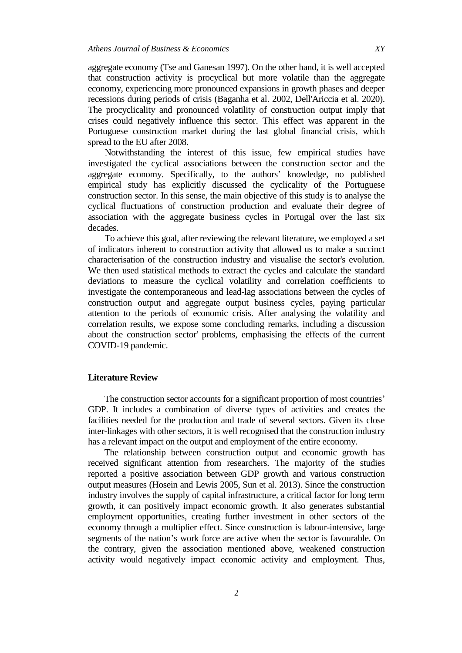aggregate economy (Tse and Ganesan 1997). On the other hand, it is well accepted that construction activity is procyclical but more volatile than the aggregate economy, experiencing more pronounced expansions in growth phases and deeper recessions during periods of crisis (Baganha et al. 2002, Dell'Ariccia et al. 2020). The procyclicality and pronounced volatility of construction output imply that crises could negatively influence this sector. This effect was apparent in the Portuguese construction market during the last global financial crisis, which spread to the EU after 2008.

Notwithstanding the interest of this issue, few empirical studies have investigated the cyclical associations between the construction sector and the aggregate economy. Specifically, to the authors' knowledge, no published empirical study has explicitly discussed the cyclicality of the Portuguese construction sector. In this sense, the main objective of this study is to analyse the cyclical fluctuations of construction production and evaluate their degree of association with the aggregate business cycles in Portugal over the last six decades.

To achieve this goal, after reviewing the relevant literature, we employed a set of indicators inherent to construction activity that allowed us to make a succinct characterisation of the construction industry and visualise the sector's evolution. We then used statistical methods to extract the cycles and calculate the standard deviations to measure the cyclical volatility and correlation coefficients to investigate the contemporaneous and lead-lag associations between the cycles of construction output and aggregate output business cycles, paying particular attention to the periods of economic crisis. After analysing the volatility and correlation results, we expose some concluding remarks, including a discussion about the construction sector' problems, emphasising the effects of the current COVID-19 pandemic.

# **Literature Review**

The construction sector accounts for a significant proportion of most countries' GDP. It includes a combination of diverse types of activities and creates the facilities needed for the production and trade of several sectors. Given its close inter-linkages with other sectors, it is well recognised that the construction industry has a relevant impact on the output and employment of the entire economy.

The relationship between construction output and economic growth has received significant attention from researchers. The majority of the studies reported a positive association between GDP growth and various construction output measures (Hosein and Lewis 2005, Sun et al. 2013). Since the construction industry involves the supply of capital infrastructure, a critical factor for long term growth, it can positively impact economic growth. It also generates substantial employment opportunities, creating further investment in other sectors of the economy through a multiplier effect. Since construction is labour-intensive, large segments of the nation's work force are active when the sector is favourable. On the contrary, given the association mentioned above, weakened construction activity would negatively impact economic activity and employment. Thus,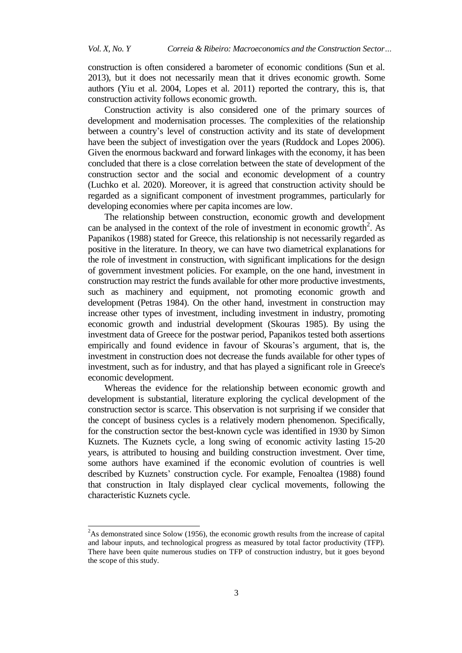construction is often considered a barometer of economic conditions (Sun et al. 2013), but it does not necessarily mean that it drives economic growth. Some authors (Yiu et al. 2004, Lopes et al. 2011) reported the contrary, this is, that construction activity follows economic growth.

Construction activity is also considered one of the primary sources of development and modernisation processes. The complexities of the relationship between a country's level of construction activity and its state of development have been the subject of investigation over the years (Ruddock and Lopes 2006). Given the enormous backward and forward linkages with the economy, it has been concluded that there is a close correlation between the state of development of the construction sector and the social and economic development of a country (Luchko et al. 2020). Moreover, it is agreed that construction activity should be regarded as a significant component of investment programmes, particularly for developing economies where per capita incomes are low.

The relationship between construction, economic growth and development can be analysed in the context of the role of investment in economic growth<sup>2</sup>. As Papanikos (1988) stated for Greece, this relationship is not necessarily regarded as positive in the literature. In theory, we can have two diametrical explanations for the role of investment in construction, with significant implications for the design of government investment policies. For example, on the one hand, investment in construction may restrict the funds available for other more productive investments, such as machinery and equipment, not promoting economic growth and development (Petras 1984). On the other hand, investment in construction may increase other types of investment, including investment in industry, promoting economic growth and industrial development (Skouras 1985). By using the investment data of Greece for the postwar period, Papanikos tested both assertions empirically and found evidence in favour of Skouras's argument, that is, the investment in construction does not decrease the funds available for other types of investment, such as for industry, and that has played a significant role in Greece's economic development.

Whereas the evidence for the relationship between economic growth and development is substantial, literature exploring the cyclical development of the construction sector is scarce. This observation is not surprising if we consider that the concept of business cycles is a relatively modern phenomenon. Specifically, for the construction sector the best-known cycle was identified in 1930 by Simon Kuznets. The Kuznets cycle, a long swing of economic activity lasting 15-20 years, is attributed to housing and building construction investment. Over time, some authors have examined if the economic evolution of countries is well described by Kuznets' construction cycle. For example, Fenoaltea (1988) found that construction in Italy displayed clear cyclical movements, following the characteristic Kuznets cycle.

 $\overline{a}$ 

 $2^2$ As demonstrated since Solow (1956), the economic growth results from the increase of capital and labour inputs, and technological progress as measured by total factor productivity (TFP). There have been quite numerous studies on TFP of construction industry, but it goes beyond the scope of this study.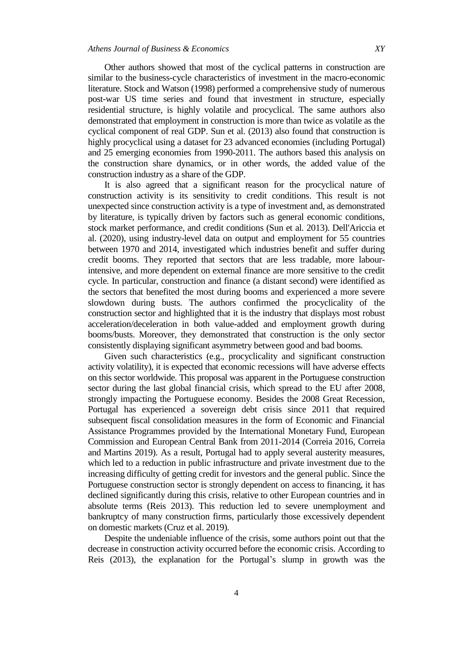Other authors showed that most of the cyclical patterns in construction are similar to the business-cycle characteristics of investment in the macro-economic literature. Stock and Watson (1998) performed a comprehensive study of numerous post-war US time series and found that investment in structure, especially residential structure, is highly volatile and procyclical. The same authors also demonstrated that employment in construction is more than twice as volatile as the cyclical component of real GDP. Sun et al. (2013) also found that construction is highly procyclical using a dataset for 23 advanced economies (including Portugal) and 25 emerging economies from 1990-2011. The authors based this analysis on the construction share dynamics, or in other words, the added value of the construction industry as a share of the GDP.

It is also agreed that a significant reason for the procyclical nature of construction activity is its sensitivity to credit conditions. This result is not unexpected since construction activity is a type of investment and, as demonstrated by literature, is typically driven by factors such as general economic conditions, stock market performance, and credit conditions (Sun et al. 2013). Dell'Ariccia et al. (2020), using industry-level data on output and employment for 55 countries between 1970 and 2014, investigated which industries benefit and suffer during credit booms. They reported that sectors that are less tradable, more labourintensive, and more dependent on external finance are more sensitive to the credit cycle. In particular, construction and finance (a distant second) were identified as the sectors that benefited the most during booms and experienced a more severe slowdown during busts. The authors confirmed the procyclicality of the construction sector and highlighted that it is the industry that displays most robust acceleration/deceleration in both value-added and employment growth during booms/busts. Moreover, they demonstrated that construction is the only sector consistently displaying significant asymmetry between good and bad booms.

Given such characteristics (e.g., procyclicality and significant construction activity volatility), it is expected that economic recessions will have adverse effects on this sector worldwide. This proposal was apparent in the Portuguese construction sector during the last global financial crisis, which spread to the EU after 2008, strongly impacting the Portuguese economy. Besides the 2008 Great Recession, Portugal has experienced a sovereign debt crisis since 2011 that required subsequent fiscal consolidation measures in the form of Economic and Financial Assistance Programmes provided by the International Monetary Fund, European Commission and European Central Bank from 2011-2014 (Correia 2016, Correia and Martins 2019). As a result, Portugal had to apply several austerity measures, which led to a reduction in public infrastructure and private investment due to the increasing difficulty of getting credit for investors and the general public. Since the Portuguese construction sector is strongly dependent on access to financing, it has declined significantly during this crisis, relative to other European countries and in absolute terms (Reis 2013). This reduction led to severe unemployment and bankruptcy of many construction firms, particularly those excessively dependent on domestic markets (Cruz et al. 2019).

Despite the undeniable influence of the crisis, some authors point out that the decrease in construction activity occurred before the economic crisis. According to Reis (2013), the explanation for the Portugal's slump in growth was the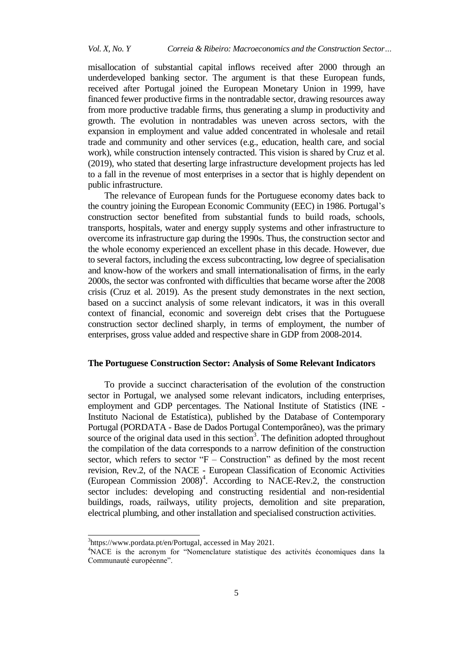misallocation of substantial capital inflows received after 2000 through an underdeveloped banking sector. The argument is that these European funds, received after Portugal joined the European Monetary Union in 1999, have financed fewer productive firms in the nontradable sector, drawing resources away from more productive tradable firms, thus generating a slump in productivity and growth. The evolution in nontradables was uneven across sectors, with the expansion in employment and value added concentrated in wholesale and retail trade and community and other services (e.g., education, health care, and social work), while construction intensely contracted. This vision is shared by Cruz et al. (2019), who stated that deserting large infrastructure development projects has led to a fall in the revenue of most enterprises in a sector that is highly dependent on public infrastructure.

The relevance of European funds for the Portuguese economy dates back to the country joining the European Economic Community (EEC) in 1986. Portugal's construction sector benefited from substantial funds to build roads, schools, transports, hospitals, water and energy supply systems and other infrastructure to overcome its infrastructure gap during the 1990s. Thus, the construction sector and the whole economy experienced an excellent phase in this decade. However, due to several factors, including the excess subcontracting, low degree of specialisation and know-how of the workers and small internationalisation of firms, in the early 2000s, the sector was confronted with difficulties that became worse after the 2008 crisis (Cruz et al. 2019). As the present study demonstrates in the next section, based on a succinct analysis of some relevant indicators, it was in this overall context of financial, economic and sovereign debt crises that the Portuguese construction sector declined sharply, in terms of employment, the number of enterprises, gross value added and respective share in GDP from 2008-2014.

# **The Portuguese Construction Sector: Analysis of Some Relevant Indicators**

To provide a succinct characterisation of the evolution of the construction sector in Portugal, we analysed some relevant indicators, including enterprises, employment and GDP percentages. The National Institute of Statistics (INE - Instituto Nacional de Estatística), published by the Database of Contemporary Portugal (PORDATA - Base de Dados Portugal Contemporâneo), was the primary source of the original data used in this section<sup>3</sup>. The definition adopted throughout the compilation of the data corresponds to a narrow definition of the construction sector, which refers to sector " $F -$ Construction" as defined by the most recent revision, Rev.2, of the NACE - European Classification of Economic Activities (European Commission 2008)<sup>4</sup>. According to NACE-Rev.2, the construction sector includes: developing and constructing residential and non-residential buildings, roads, railways, utility projects, demolition and site preparation, electrical plumbing, and other installation and specialised construction activities.

j

<sup>&</sup>lt;sup>3</sup>https://www.pordata.pt/en/Portugal, accessed in May 2021.

<sup>4</sup>NACE is the acronym for "Nomenclature statistique des activités économiques dans la Communauté européenne".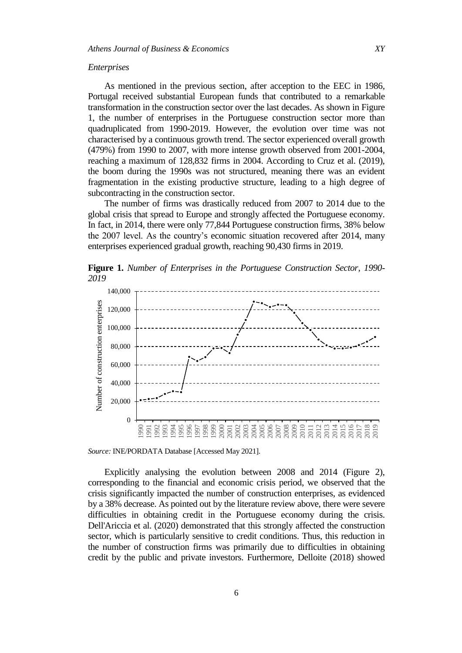### *Enterprises*

As mentioned in the previous section, after acception to the EEC in 1986, Portugal received substantial European funds that contributed to a remarkable transformation in the construction sector over the last decades. As shown in Figure 1, the number of enterprises in the Portuguese construction sector more than quadruplicated from 1990-2019. However, the evolution over time was not characterised by a continuous growth trend. The sector experienced overall growth (479%) from 1990 to 2007, with more intense growth observed from 2001-2004, reaching a maximum of 128,832 firms in 2004. According to Cruz et al. (2019), the boom during the 1990s was not structured, meaning there was an evident fragmentation in the existing productive structure, leading to a high degree of subcontracting in the construction sector.

The number of firms was drastically reduced from 2007 to 2014 due to the global crisis that spread to Europe and strongly affected the Portuguese economy. In fact, in 2014, there were only 77,844 Portuguese construction firms, 38% below the 2007 level. As the country's economic situation recovered after 2014, many enterprises experienced gradual growth, reaching 90,430 firms in 2019.

**Figure 1.** *Number of Enterprises in the Portuguese Construction Sector, 1990*- *2019*



*Source:* INE/PORDATA Database [Accessed May 2021].

Explicitly analysing the evolution between 2008 and 2014 (Figure 2), corresponding to the financial and economic crisis period, we observed that the crisis significantly impacted the number of construction enterprises, as evidenced by a 38% decrease. As pointed out by the literature review above, there were severe difficulties in obtaining credit in the Portuguese economy during the crisis. Dell'Ariccia et al. (2020) demonstrated that this strongly affected the construction sector, which is particularly sensitive to credit conditions. Thus, this reduction in the number of construction firms was primarily due to difficulties in obtaining credit by the public and private investors. Furthermore, Delloite (2018) showed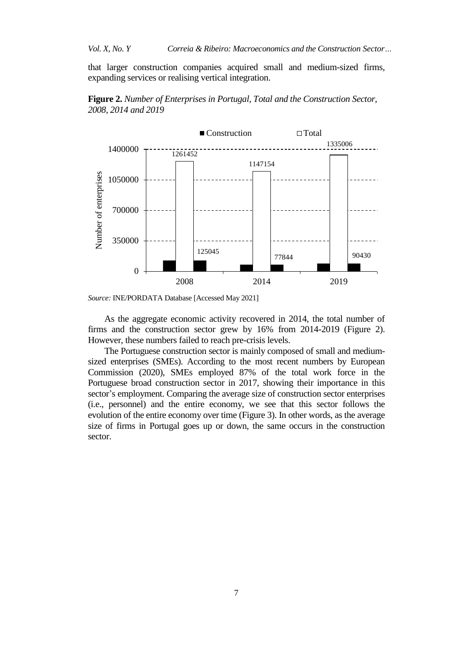that larger construction companies acquired small and medium-sized firms, expanding services or realising vertical integration.







As the aggregate economic activity recovered in 2014, the total number of firms and the construction sector grew by 16% from 2014-2019 (Figure 2). However, these numbers failed to reach pre-crisis levels.

The Portuguese construction sector is mainly composed of small and mediumsized enterprises (SMEs). According to the most recent numbers by European Commission (2020), SMEs employed 87% of the total work force in the Portuguese broad construction sector in 2017, showing their importance in this sector's employment. Comparing the average size of construction sector enterprises (i.e., personnel) and the entire economy, we see that this sector follows the evolution of the entire economy over time (Figure 3). In other words, as the average size of firms in Portugal goes up or down, the same occurs in the construction sector.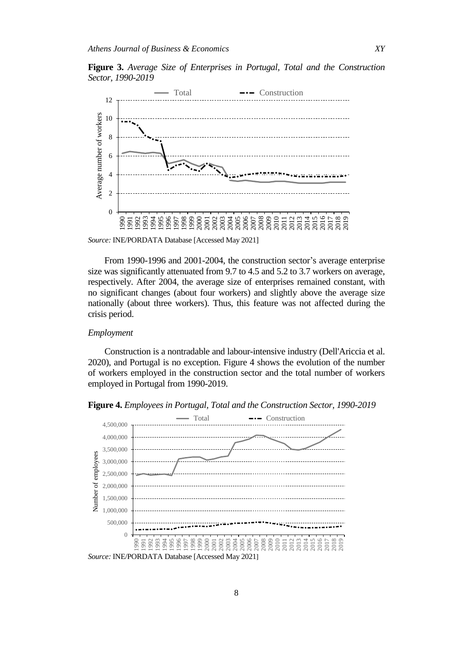**Figure 3.** *Average Size of Enterprises in Portugal, Total and the Construction Sector, 1990*-*2019*



*Source:* INE/PORDATA Database [Accessed May 2021]

From 1990-1996 and 2001-2004, the construction sector's average enterprise size was significantly attenuated from 9.7 to 4.5 and 5.2 to 3.7 workers on average, respectively. After 2004, the average size of enterprises remained constant, with no significant changes (about four workers) and slightly above the average size nationally (about three workers). Thus, this feature was not affected during the crisis period.

## *Employment*

Construction is a nontradable and labour-intensive industry (Dell'Ariccia et al. 2020), and Portugal is no exception. Figure 4 shows the evolution of the number of workers employed in the construction sector and the total number of workers employed in Portugal from 1990-2019.

**Figure 4.** *Employees in Portugal, Total and the Construction Sector, 1990*-*2019*

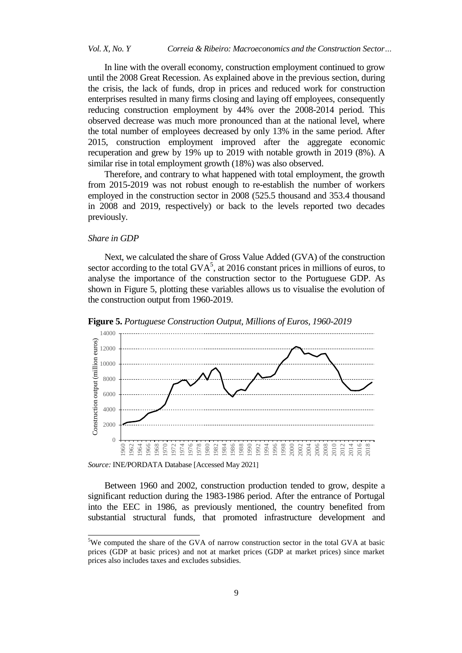In line with the overall economy, construction employment continued to grow until the 2008 Great Recession. As explained above in the previous section, during the crisis, the lack of funds, drop in prices and reduced work for construction enterprises resulted in many firms closing and laying off employees, consequently reducing construction employment by 44% over the 2008-2014 period. This observed decrease was much more pronounced than at the national level, where the total number of employees decreased by only 13% in the same period. After 2015, construction employment improved after the aggregate economic recuperation and grew by 19% up to 2019 with notable growth in 2019 (8%). A similar rise in total employment growth (18%) was also observed.

Therefore, and contrary to what happened with total employment, the growth from 2015-2019 was not robust enough to re-establish the number of workers employed in the construction sector in 2008 (525.5 thousand and 353.4 thousand in 2008 and 2019, respectively) or back to the levels reported two decades previously.

## *Share in GDP*

j

Next, we calculated the share of Gross Value Added (GVA) of the construction sector according to the total  $GVA<sup>5</sup>$ , at 2016 constant prices in millions of euros, to analyse the importance of the construction sector to the Portuguese GDP. As shown in Figure 5, plotting these variables allows us to visualise the evolution of the construction output from 1960-2019.





*Source:* INE/PORDATA Database [Accessed May 2021]

Between 1960 and 2002, construction production tended to grow, despite a significant reduction during the 1983-1986 period. After the entrance of Portugal into the EEC in 1986, as previously mentioned, the country benefited from substantial structural funds, that promoted infrastructure development and

<sup>&</sup>lt;sup>5</sup>We computed the share of the GVA of narrow construction sector in the total GVA at basic prices (GDP at basic prices) and not at market prices (GDP at market prices) since market prices also includes taxes and excludes subsidies.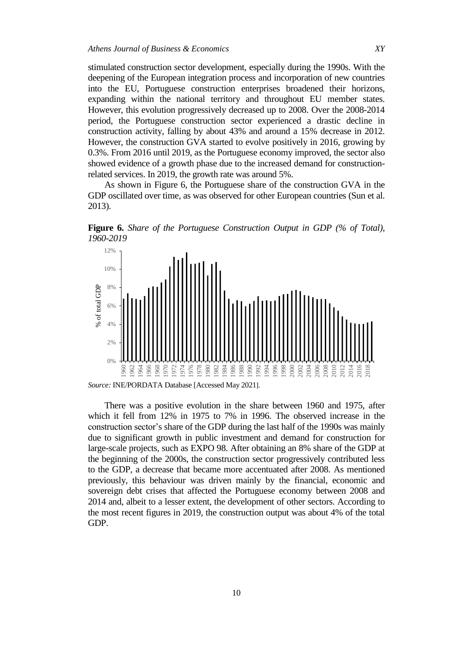stimulated construction sector development, especially during the 1990s. With the deepening of the European integration process and incorporation of new countries into the EU, Portuguese construction enterprises broadened their horizons, expanding within the national territory and throughout EU member states. However, this evolution progressively decreased up to 2008. Over the 2008-2014 period, the Portuguese construction sector experienced a drastic decline in construction activity, falling by about 43% and around a 15% decrease in 2012. However, the construction GVA started to evolve positively in 2016, growing by 0.3%. From 2016 until 2019, as the Portuguese economy improved, the sector also showed evidence of a growth phase due to the increased demand for constructionrelated services. In 2019, the growth rate was around 5%.

As shown in Figure 6, the Portuguese share of the construction GVA in the GDP oscillated over time, as was observed for other European countries (Sun et al. 2013).

**Figure 6.** *Share of the Portuguese Construction Output in GDP (% of Total), 1960-2019*



*Source:* INE/PORDATA Database [Accessed May 2021].

There was a positive evolution in the share between 1960 and 1975, after which it fell from 12% in 1975 to 7% in 1996. The observed increase in the construction sector's share of the GDP during the last half of the 1990s was mainly due to significant growth in public investment and demand for construction for large-scale projects, such as EXPO 98. After obtaining an 8% share of the GDP at the beginning of the 2000s, the construction sector progressively contributed less to the GDP, a decrease that became more accentuated after 2008. As mentioned previously, this behaviour was driven mainly by the financial, economic and sovereign debt crises that affected the Portuguese economy between 2008 and 2014 and, albeit to a lesser extent, the development of other sectors. According to the most recent figures in 2019, the construction output was about 4% of the total GDP.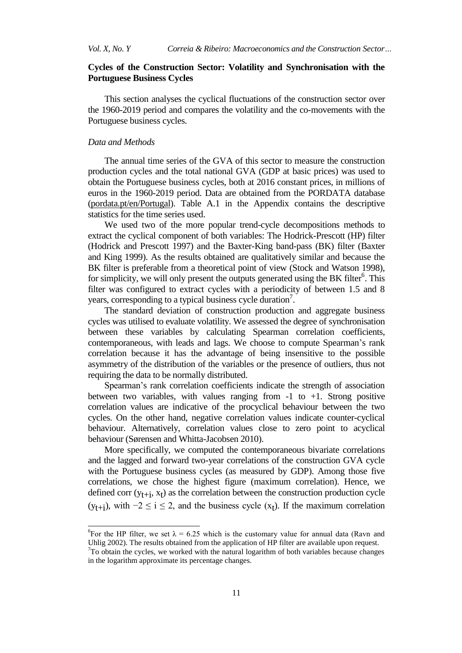# **Cycles of the Construction Sector: Volatility and Synchronisation with the Portuguese Business Cycles**

This section analyses the cyclical fluctuations of the construction sector over the 1960-2019 period and compares the volatility and the co-movements with the Portuguese business cycles.

# *Data and Methods*

 $\overline{a}$ 

The annual time series of the GVA of this sector to measure the construction production cycles and the total national GVA (GDP at basic prices) was used to obtain the Portuguese business cycles, both at 2016 constant prices, in millions of euros in the 1960-2019 period. Data are obtained from the PORDATA database [\(pordata.pt/en/Portugal\)](https://www.pordata.pt/en/Portugal). Table A.1 in the Appendix contains the descriptive statistics for the time series used.

We used two of the more popular trend-cycle decompositions methods to extract the cyclical component of both variables: The Hodrick-Prescott (HP) filter (Hodrick and Prescott 1997) and the Baxter-King band-pass (BK) filter (Baxter and King 1999). As the results obtained are qualitatively similar and because the BK filter is preferable from a theoretical point of view (Stock and Watson 1998), for simplicity, we will only present the outputs generated using the BK filter<sup>6</sup>. This filter was configured to extract cycles with a periodicity of between 1.5 and 8 years, corresponding to a typical business cycle duration<sup>7</sup>.

The standard deviation of construction production and aggregate business cycles was utilised to evaluate volatility. We assessed the degree of synchronisation between these variables by calculating Spearman correlation coefficients, contemporaneous, with leads and lags. We choose to compute Spearman's rank correlation because it has the advantage of being insensitive to the possible asymmetry of the distribution of the variables or the presence of outliers, thus not requiring the data to be normally distributed.

Spearman's rank correlation coefficients indicate the strength of association between two variables, with values ranging from  $-1$  to  $+1$ . Strong positive correlation values are indicative of the procyclical behaviour between the two cycles. On the other hand, negative correlation values indicate counter-cyclical behaviour. Alternatively, correlation values close to zero point to acyclical behaviour (Sørensen and Whitta-Jacobsen 2010).

More specifically, we computed the contemporaneous bivariate correlations and the lagged and forward two-year correlations of the construction GVA cycle with the Portuguese business cycles (as measured by GDP). Among those five correlations, we chose the highest figure (maximum correlation). Hence, we defined corr  $(y_{t+i}, x_t)$  as the correlation between the construction production cycle  $(y_{t+i})$ , with  $-2 \le i \le 2$ , and the business cycle  $(x_t)$ . If the maximum correlation

<sup>&</sup>lt;sup>6</sup>For the HP filter, we set  $\lambda = 6.25$  which is the customary value for annual data (Ravn and Uhlig 2002). The results obtained from the application of HP filter are available upon request.  $7$ To obtain the cycles, we worked with the natural logarithm of both variables because changes in the logarithm approximate its percentage changes.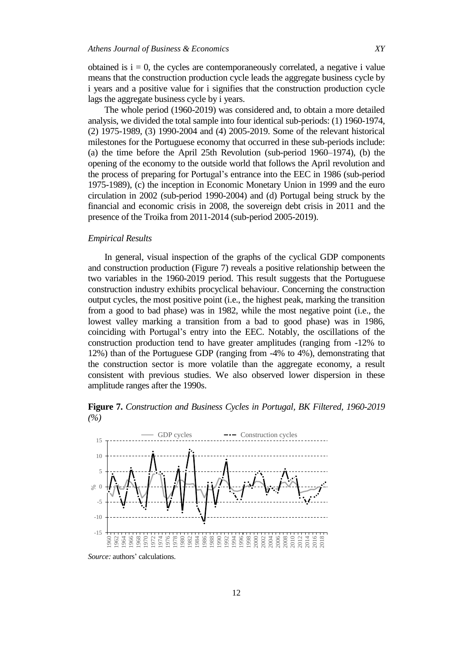obtained is  $i = 0$ , the cycles are contemporaneously correlated, a negative i value means that the construction production cycle leads the aggregate business cycle by i years and a positive value for i signifies that the construction production cycle lags the aggregate business cycle by i years.

The whole period (1960-2019) was considered and, to obtain a more detailed analysis, we divided the total sample into four identical sub-periods: (1) 1960-1974, (2) 1975-1989, (3) 1990-2004 and (4) 2005-2019. Some of the relevant historical milestones for the Portuguese economy that occurred in these sub-periods include: (a) the time before the April 25th Revolution (sub-period 1960–1974), (b) the opening of the economy to the outside world that follows the April revolution and the process of preparing for Portugal's entrance into the EEC in 1986 (sub-period 1975-1989), (c) the inception in Economic Monetary Union in 1999 and the euro circulation in 2002 (sub-period 1990-2004) and (d) Portugal being struck by the financial and economic crisis in 2008, the sovereign debt crisis in 2011 and the presence of the Troika from 2011-2014 (sub-period 2005-2019).

## *Empirical Results*

In general, visual inspection of the graphs of the cyclical GDP components and construction production (Figure 7) reveals a positive relationship between the two variables in the 1960-2019 period. This result suggests that the Portuguese construction industry exhibits procyclical behaviour. Concerning the construction output cycles, the most positive point (i.e., the highest peak, marking the transition from a good to bad phase) was in 1982, while the most negative point (i.e., the lowest valley marking a transition from a bad to good phase) was in 1986, coinciding with Portugal's entry into the EEC. Notably, the oscillations of the construction production tend to have greater amplitudes (ranging from -12% to 12%) than of the Portuguese GDP (ranging from -4% to 4%), demonstrating that the construction sector is more volatile than the aggregate economy, a result consistent with previous studies. We also observed lower dispersion in these amplitude ranges after the 1990s.

**Figure 7.** *Construction and Business Cycles in Portugal, BK Filtered, 1960*-*2019 (%)*



*Source:* authors' calculations.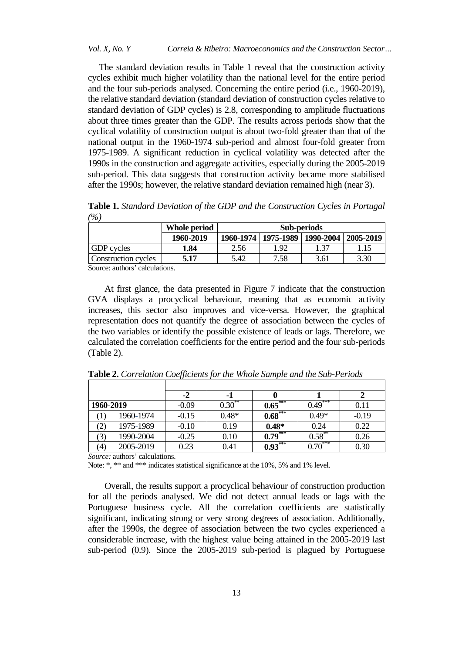The standard deviation results in Table 1 reveal that the construction activity cycles exhibit much higher volatility than the national level for the entire period and the four sub-periods analysed. Concerning the entire period (i.e., 1960-2019), the relative standard deviation (standard deviation of construction cycles relative to standard deviation of GDP cycles) is 2.8, corresponding to amplitude fluctuations about three times greater than the GDP. The results across periods show that the cyclical volatility of construction output is about two-fold greater than that of the national output in the 1960-1974 sub-period and almost four-fold greater from 1975-1989. A significant reduction in cyclical volatility was detected after the 1990s in the construction and aggregate activities, especially during the 2005-2019 sub-period. This data suggests that construction activity became more stabilised after the 1990s; however, the relative standard deviation remained high (near 3).

**Whole period Sub-periods 1960**-**2019 1960**-**1974 1975**-**1989 1990**-**2004 2005**-**2019** GDP cycles **1.84** 2.56 1.92 1.37 1.15 Construction cycles **5.17 5.42** 7.58 **5.17 5.42** 7.58 **5.17 5.42 5.42 5.42 5.42 5.42 5.42 5.42 5.42 5.42 5.42 5.42 5.42 5.42 5.42 5.42 5.42 5.42 5.42 5.42 5.42 5.42 5.42 5.** 

**Table 1.** *Standard Deviation of the GDP and the Construction Cycles in Portugal (%)*

Source: authors' calculations.

At first glance, the data presented in Figure 7 indicate that the construction GVA displays a procyclical behaviour, meaning that as economic activity increases, this sector also improves and vice-versa. However, the graphical representation does not quantify the degree of association between the cycles of the two variables or identify the possible existence of leads or lags. Therefore, we calculated the correlation coefficients for the entire period and the four sub-periods (Table 2).

|                |           | -2      | -1        |           |           |         |
|----------------|-----------|---------|-----------|-----------|-----------|---------|
| 1960-2019      |           | $-0.09$ | $0.30***$ | $0.65***$ | $0.49***$ | 0.11    |
|                | 1960-1974 | $-0.15$ | $0.48*$   | $0.68***$ | $0.49*$   | $-0.19$ |
| ′2)            | 1975-1989 | $-0.10$ | 0.19      | $0.48*$   | 0.24      | 0.22    |
| $\mathfrak{I}$ | 1990-2004 | $-0.25$ | 0.10      | $0.79***$ | $0.58***$ | 0.26    |
| (4)            | 2005-2019 | 0.23    | 0.41      | $0.93***$ | $0.70***$ | 0.30    |

**Table 2.** *Correlation Coefficients for the Whole Sample and the Sub-Periods*

*Source:* authors' calculations.

Note: \*, \*\* and \*\*\* indicates statistical significance at the 10%, 5% and 1% level.

Overall, the results support a procyclical behaviour of construction production for all the periods analysed. We did not detect annual leads or lags with the Portuguese business cycle. All the correlation coefficients are statistically significant, indicating strong or very strong degrees of association. Additionally, after the 1990s, the degree of association between the two cycles experienced a considerable increase, with the highest value being attained in the 2005-2019 last sub-period (0.9). Since the 2005-2019 sub-period is plagued by Portuguese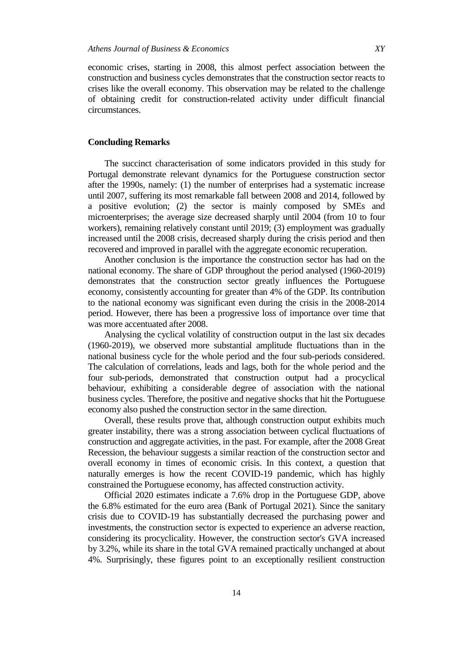economic crises, starting in 2008, this almost perfect association between the construction and business cycles demonstrates that the construction sector reacts to crises like the overall economy. This observation may be related to the challenge of obtaining credit for construction-related activity under difficult financial circumstances.

# **Concluding Remarks**

The succinct characterisation of some indicators provided in this study for Portugal demonstrate relevant dynamics for the Portuguese construction sector after the 1990s, namely: (1) the number of enterprises had a systematic increase until 2007, suffering its most remarkable fall between 2008 and 2014, followed by a positive evolution; (2) the sector is mainly composed by SMEs and microenterprises; the average size decreased sharply until 2004 (from 10 to four workers), remaining relatively constant until 2019; (3) employment was gradually increased until the 2008 crisis, decreased sharply during the crisis period and then recovered and improved in parallel with the aggregate economic recuperation.

Another conclusion is the importance the construction sector has had on the national economy. The share of GDP throughout the period analysed (1960-2019) demonstrates that the construction sector greatly influences the Portuguese economy, consistently accounting for greater than 4% of the GDP. Its contribution to the national economy was significant even during the crisis in the 2008-2014 period. However, there has been a progressive loss of importance over time that was more accentuated after 2008.

Analysing the cyclical volatility of construction output in the last six decades (1960-2019), we observed more substantial amplitude fluctuations than in the national business cycle for the whole period and the four sub-periods considered. The calculation of correlations, leads and lags, both for the whole period and the four sub-periods, demonstrated that construction output had a procyclical behaviour, exhibiting a considerable degree of association with the national business cycles. Therefore, the positive and negative shocks that hit the Portuguese economy also pushed the construction sector in the same direction.

Overall, these results prove that, although construction output exhibits much greater instability, there was a strong association between cyclical fluctuations of construction and aggregate activities, in the past. For example, after the 2008 Great Recession, the behaviour suggests a similar reaction of the construction sector and overall economy in times of economic crisis. In this context, a question that naturally emerges is how the recent COVID-19 pandemic, which has highly constrained the Portuguese economy, has affected construction activity.

Official 2020 estimates indicate a 7.6% drop in the Portuguese GDP, above the 6.8% estimated for the euro area (Bank of Portugal 2021). Since the sanitary crisis due to COVID-19 has substantially decreased the purchasing power and investments, the construction sector is expected to experience an adverse reaction, considering its procyclicality. However, the construction sector's GVA increased by 3.2%, while its share in the total GVA remained practically unchanged at about 4%. Surprisingly, these figures point to an exceptionally resilient construction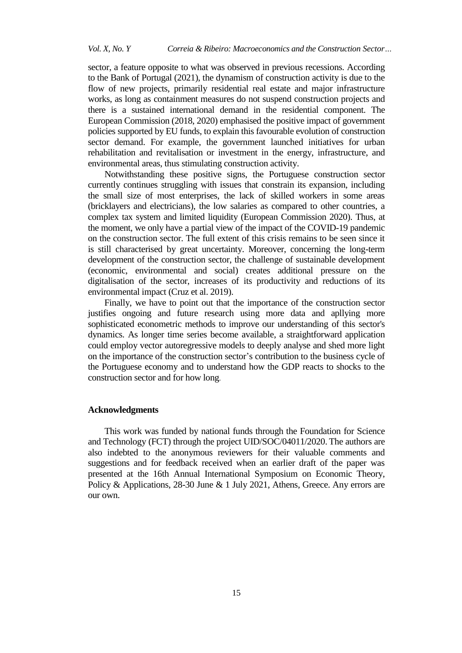sector, a feature opposite to what was observed in previous recessions. According to the Bank of Portugal (2021), the dynamism of construction activity is due to the flow of new projects, primarily residential real estate and major infrastructure works, as long as containment measures do not suspend construction projects and there is a sustained international demand in the residential component. The European Commission (2018, 2020) emphasised the positive impact of government policies supported by EU funds, to explain this favourable evolution of construction sector demand. For example, the government launched initiatives for urban rehabilitation and revitalisation or investment in the energy, infrastructure, and environmental areas, thus stimulating construction activity.

Notwithstanding these positive signs, the Portuguese construction sector currently continues struggling with issues that constrain its expansion, including the small size of most enterprises, the lack of skilled workers in some areas (bricklayers and electricians), the low salaries as compared to other countries, a complex tax system and limited liquidity (European Commission 2020). Thus, at the moment, we only have a partial view of the impact of the COVID-19 pandemic on the construction sector. The full extent of this crisis remains to be seen since it is still characterised by great uncertainty. Moreover, concerning the long-term development of the construction sector, the challenge of sustainable development (economic, environmental and social) creates additional pressure on the digitalisation of the sector, increases of its productivity and reductions of its environmental impact (Cruz et al. 2019).

Finally, we have to point out that the importance of the construction sector justifies ongoing and future research using more data and apllying more sophisticated econometric methods to improve our understanding of this sector's dynamics. As longer time series become available, a straightforward application could employ vector autoregressive models to deeply analyse and shed more light on the importance of the construction sector's contribution to the business cycle of the Portuguese economy and to understand how the GDP reacts to shocks to the construction sector and for how long.

## **Acknowledgments**

This work was funded by national funds through the Foundation for Science and Technology (FCT) through the project UID/SOC/04011/2020. The authors are also indebted to the anonymous reviewers for their valuable comments and suggestions and for feedback received when an earlier draft of the paper was presented at the 16th Annual International Symposium on Economic Theory, Policy & Applications, 28-30 June & 1 July 2021, Athens, Greece. Any errors are our own.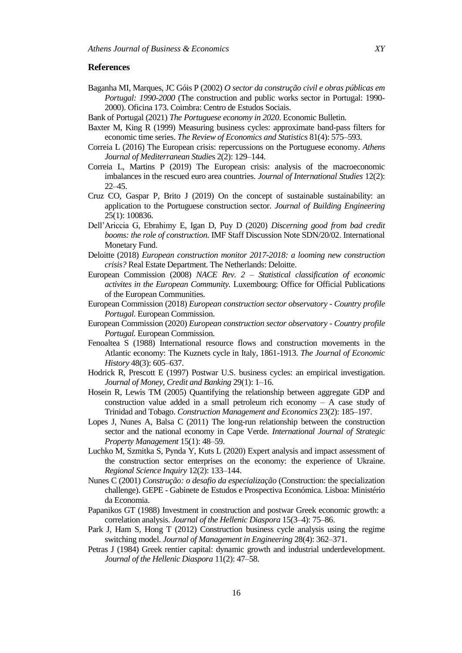## **References**

- Baganha MI, Marques, JC Góis P (2002) *O sector da construção civil e obras públicas em Portugal: 1990-2000* (The construction and public works sector in Portugal: 1990- 2000). Oficina 173. Coimbra: Centro de Estudos Sociais.
- Bank of Portugal (2021) *The Portuguese economy in 2020*. Economic Bulletin.
- Baxter M, King R (1999) Measuring business cycles: approximate band-pass filters for economic time series. *The Review of Economics and Statistics* 81(4): 575–593.
- Correia L (2016) The European crisis: repercussions on the Portuguese economy. *Athens Journal of Mediterranean Studie*s 2(2): 129–144.
- Correia L, Martins P (2019) The European crisis: analysis of the macroeconomic imbalances in the rescued euro area countries. *Journal of International Studies* 12(2): 22–45.
- Cruz CO, Gaspar P, Brito J (2019) On the concept of sustainable sustainability: an application to the Portuguese construction sector. *[Journal of Building Engineering](https://www.sciencedirect.com/science/journal/23527102)* 25(1): 100836.
- Dell'Ariccia G, Ebrahimy E, Igan D, Puy D (2020) *Discerning good from bad credit booms: the role of construction*. IMF Staff Discussion Note SDN/20/02. International Monetary Fund.
- Deloitte (2018) *European construction monitor 2017-2018: a looming new construction crisis?* Real Estate Department. The Netherlands: Deloitte.
- European Commission (2008) *NACE Rev. 2 – Statistical classification of economic activites in the European Community.* Luxembourg: Office for Official Publications of the European Communities.
- European Commission (2018) *European construction sector observatory - Country profile Portugal.* European Commission.
- European Commission (2020) *European construction sector observatory - Country profile Portugal.* European Commission*.*
- Fenoaltea S (1988) International resource flows and construction movements in the Atlantic economy: The Kuznets cycle in Italy, 1861-1913. *The Journal of Economic History* 48(3): 605–637.
- Hodrick R, Prescott E (1997) Postwar U.S. business cycles: an empirical investigation. *Journal of Money, Credit and Banking* 29(1): 1–16.
- Hosein R, Lewis TM (2005) Quantifying the relationship between aggregate GDP and construction value added in a small petroleum rich economy – A case study of Trinidad and Tobago. *Construction Management and Economics* 23(2): 185–197.
- Lopes J, Nunes A, Balsa C (2011) The long-run relationship between the construction sector and the national economy in Cape Verde. *International Journal of Strategic Property Management* 15(1): 48–59.
- Luchko M, Szmitka S, Pynda Y, Kuts L (2020) Expert analysis and impact assessment of the construction sector enterprises on the economy: the experience of Ukraine. *Regional Science Inquiry* 12(2): 133–144.
- Nunes C (2001) *Construção: o desafio da especialização* (Construction: the specialization challenge). GEPE - Gabinete de Estudos e Prospectiva Económica. Lisboa: Ministério da Economia.
- Papanikos GT (1988) Investment in construction and postwar Greek economic growth: a correlation analysis. *Journal of the Hellenic Diaspora* 15(3–4): 75–86.
- Park J, Ham S, Hong T (2012) Construction business cycle analysis using the regime switching model. *Journal of Management in Engineering* 28(4): 362–371.
- Petras J (1984) Greek rentier capital: dynamic growth and industrial underdevelopment. *Journal of the Hellenic Diaspora* 11(2): 47–58.